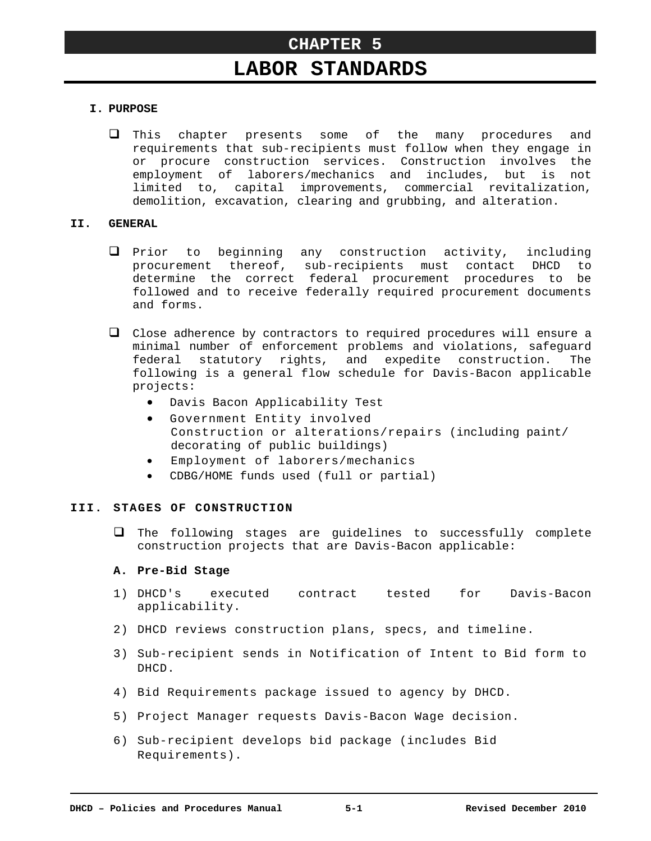# **LABOR STANDARDS**

## **I. PURPOSE**

 This chapter presents some of the many procedures and requirements that sub-recipients must follow when they engage in or procure construction services. Construction involves the employment of laborers/mechanics and includes, but is not limited to, capital improvements, commercial revitalization, demolition, excavation, clearing and grubbing, and alteration.

## **II. GENERAL**

- $\Box$  Prior to beginning any construction activity, including procurement thereof, sub-recipients must contact DHCD to determine the correct federal procurement procedures to be followed and to receive federally required procurement documents and forms.
- $\Box$  Close adherence by contractors to required procedures will ensure a minimal number of enforcement problems and violations, safeguard federal statutory rights, and expedite construction. The following is a general flow schedule for Davis-Bacon applicable projects:
	- Davis Bacon Applicability Test
	- Government Entity involved Construction or alterations/repairs (including paint/ decorating of public buildings)
	- Employment of laborers/mechanics
	- CDBG/HOME funds used (full or partial)

# **III. STAGES OF CONSTRUCTION**

 $\Box$  The following stages are guidelines to successfully complete construction projects that are Davis-Bacon applicable:

## **A. Pre-Bid Stage**

- 1) DHCD's executed contract tested for Davis-Bacon applicability.
- 2) DHCD reviews construction plans, specs, and timeline.
- 3) Sub-recipient sends in Notification of Intent to Bid form to DHCD.
- 4) Bid Requirements package issued to agency by DHCD.
- 5) Project Manager requests Davis-Bacon Wage decision.
- 6) Sub-recipient develops bid package (includes Bid Requirements).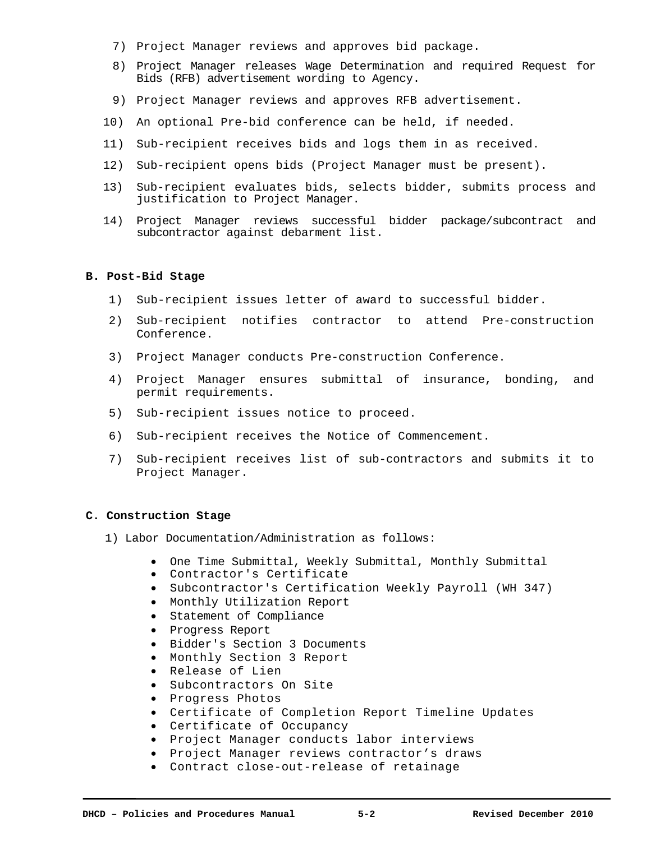- 7) Project Manager reviews and approves bid package.
- 8) Project Manager releases Wage Determination and required Request for Bids (RFB) advertisement wording to Agency.
- 9) Project Manager reviews and approves RFB advertisement.
- 10) An optional Pre-bid conference can be held, if needed.
- 11) Sub-recipient receives bids and logs them in as received.
- 12) Sub-recipient opens bids (Project Manager must be present).
- 13) Sub-recipient evaluates bids, selects bidder, submits process and justification to Project Manager.
- 14) Project Manager reviews successful bidder package/subcontract and subcontractor against debarment list.

#### **B. Post-Bid Stage**

- 1) Sub-recipient issues letter of award to successful bidder.
- 2) Sub-recipient notifies contractor to attend Pre-construction Conference.
- 3) Project Manager conducts Pre-construction Conference.
- 4) Project Manager ensures submittal of insurance, bonding, and permit requirements.
- 5) Sub-recipient issues notice to proceed.
- 6) Sub-recipient receives the Notice of Commencement.
- 7) Sub-recipient receives list of sub-contractors and submits it to Project Manager.

#### **C. Construction Stage**

- 1) Labor Documentation/Administration as follows:
	- One Time Submittal, Weekly Submittal, Monthly Submittal
	- Contractor's Certificate
	- Subcontractor's Certification Weekly Payroll (WH 347)
	- Monthly Utilization Report
	- Statement of Compliance
	- Progress Report
	- Bidder's Section 3 Documents
	- Monthly Section 3 Report
	- Release of Lien
	- Subcontractors On Site
	- **•** Progress Photos
	- Certificate of Completion Report Timeline Updates
	- Certificate of Occupancy
	- Project Manager conducts labor interviews
	- Project Manager reviews contractor's draws
	- Contract close-out-release of retainage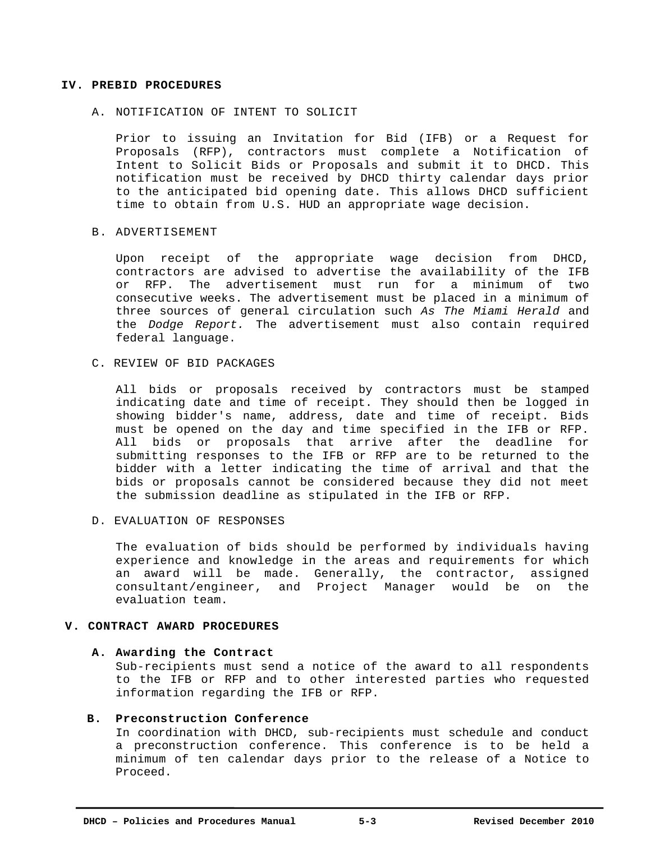#### **IV. PREBID PROCEDURES**

#### A. NOTIFICATION OF INTENT TO SOLICIT

Prior to issuing an Invitation for Bid (IFB) or a Request for Proposals (RFP), contractors must complete a Notification of Intent to Solicit Bids or Proposals and submit it to DHCD. This notification must be received by DHCD thirty calendar days prior to the anticipated bid opening date. This allows DHCD sufficient time to obtain from U.S. HUD an appropriate wage decision.

#### B. ADVERTISEMENT

Upon receipt of the appropriate wage decision from DHCD, contractors are advised to advertise the availability of the IFB or RFP. The advertisement must run for a minimum of two consecutive weeks. The advertisement must be placed in a minimum of three sources of general circulation such *As The Miami Herald* and the *Dodge Report.* The advertisement must also contain required federal language.

## C. REVIEW OF BID PACKAGES

All bids or proposals received by contractors must be stamped indicating date and time of receipt. They should then be logged in showing bidder's name, address, date and time of receipt. Bids must be opened on the day and time specified in the IFB or RFP. All bids or proposals that arrive after the deadline for submitting responses to the IFB or RFP are to be returned to the bidder with a letter indicating the time of arrival and that the bids or proposals cannot be considered because they did not meet the submission deadline as stipulated in the IFB or RFP.

#### D. EVALUATION OF RESPONSES

The evaluation of bids should be performed by individuals having experience and knowledge in the areas and requirements for which an award will be made. Generally, the contractor, assigned consultant/engineer, and Project Manager would be on the evaluation team.

#### **V. CONTRACT AWARD PROCEDURES**

#### **A. Awarding the Contract**

Sub-recipients must send a notice of the award to all respondents to the IFB or RFP and to other interested parties who requested information regarding the IFB or RFP.

## **B. Preconstruction Conference**

In coordination with DHCD, sub-recipients must schedule and conduct a preconstruction conference. This conference is to be held a minimum of ten calendar days prior to the release of a Notice to Proceed.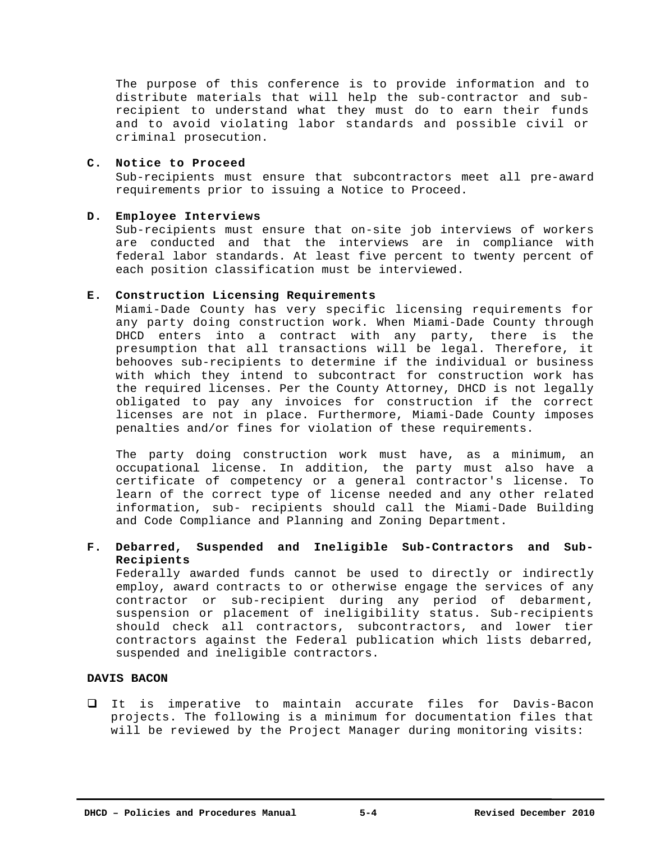The purpose of this conference is to provide information and to distribute materials that will help the sub-contractor and subrecipient to understand what they must do to earn their funds and to avoid violating labor standards and possible civil or criminal prosecution.

## **C. Notice to Proceed**

Sub-recipients must ensure that subcontractors meet all pre-award requirements prior to issuing a Notice to Proceed.

# **D. Employee Interviews**

Sub-recipients must ensure that on-site job interviews of workers are conducted and that the interviews are in compliance with federal labor standards. At least five percent to twenty percent of each position classification must be interviewed.

# **E. Construction Licensing Requirements**

Miami-Dade County has very specific licensing requirements for any party doing construction work. When Miami-Dade County through DHCD enters into a contract with any party, there is the presumption that all transactions will be legal. Therefore, it behooves sub-recipients to determine if the individual or business with which they intend to subcontract for construction work has the required licenses. Per the County Attorney, DHCD is not legally obligated to pay any invoices for construction if the correct licenses are not in place. Furthermore, Miami-Dade County imposes penalties and/or fines for violation of these requirements.

The party doing construction work must have, as a minimum, an occupational license. In addition, the party must also have a certificate of competency or a general contractor's license. To learn of the correct type of license needed and any other related information, sub- recipients should call the Miami-Dade Building and Code Compliance and Planning and Zoning Department.

# **F. Debarred, Suspended and Ineligible Sub-Contractors and Sub-Recipients**

Federally awarded funds cannot be used to directly or indirectly employ, award contracts to or otherwise engage the services of any contractor or sub-recipient during any period of debarment, suspension or placement of ineligibility status. Sub-recipients should check all contractors, subcontractors, and lower tier contractors against the Federal publication which lists debarred, suspended and ineligible contractors.

## **DAVIS BACON**

 It is imperative to maintain accurate files for Davis-Bacon projects. The following is a minimum for documentation files that will be reviewed by the Project Manager during monitoring visits: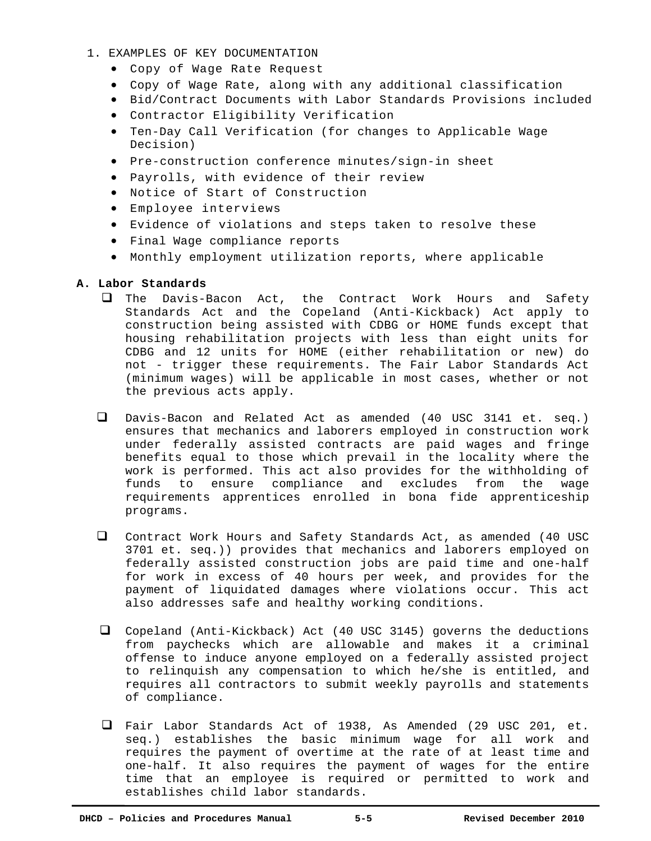- 1. EXAMPLES OF KEY DOCUMENTATION
	- Copy of Wage Rate Request
	- Copy of Wage Rate, along with any additional classification
	- Bid/Contract Documents with Labor Standards Provisions included
	- Contractor Eligibility Verification
	- Ten-Day Call Verification (for changes to Applicable Wage Decision)
	- Pre-construction conference minutes/sign-in sheet
	- Payrolls, with evidence of their review
	- Notice of Start of Construction
	- Employee interviews
	- Evidence of violations and steps taken to resolve these
	- Final Wage compliance reports
	- Monthly employment utilization reports, where applicable

# **A. Labor Standards**

- The Davis-Bacon Act, the Contract Work Hours and Safety Standards Act and the Copeland (Anti-Kickback) Act apply to construction being assisted with CDBG or HOME funds except that housing rehabilitation projects with less than eight units for CDBG and 12 units for HOME (either rehabilitation or new) do not - trigger these requirements. The Fair Labor Standards Act (minimum wages) will be applicable in most cases, whether or not the previous acts apply.
- Davis-Bacon and Related Act as amended (40 USC 3141 et. seq.) ensures that mechanics and laborers employed in construction work under federally assisted contracts are paid wages and fringe benefits equal to those which prevail in the locality where the work is performed. This act also provides for the withholding of funds to ensure compliance and excludes from the wage requirements apprentices enrolled in bona fide apprenticeship programs.
- Contract Work Hours and Safety Standards Act, as amended (40 USC 3701 et. seq.)) provides that mechanics and laborers employed on federally assisted construction jobs are paid time and one-half for work in excess of 40 hours per week, and provides for the payment of liquidated damages where violations occur. This act also addresses safe and healthy working conditions.
- Copeland (Anti-Kickback) Act (40 USC 3145) governs the deductions from paychecks which are allowable and makes it a criminal offense to induce anyone employed on a federally assisted project to relinquish any compensation to which he/she is entitled, and requires all contractors to submit weekly payrolls and statements of compliance.
- Fair Labor Standards Act of 1938, As Amended (29 USC 201, et. seq.) establishes the basic minimum wage for all work and requires the payment of overtime at the rate of at least time and one-half. It also requires the payment of wages for the entire time that an employee is required or permitted to work and establishes child labor standards.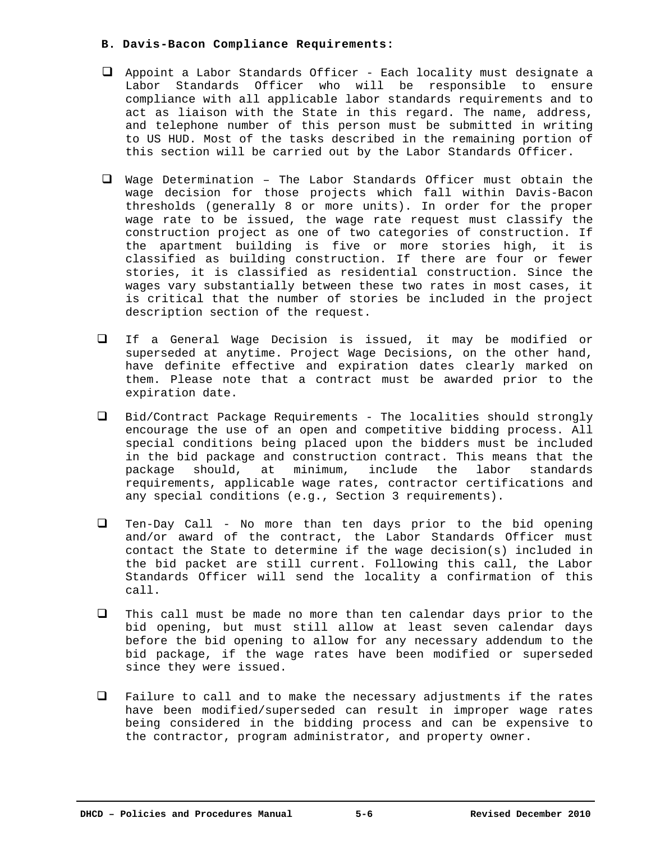## **B. Davis-Bacon Compliance Requirements:**

- $\Box$  Appoint a Labor Standards Officer Each locality must designate a Labor Standards Officer who will be responsible to ensure compliance with all applicable labor standards requirements and to act as liaison with the State in this regard. The name, address, and telephone number of this person must be submitted in writing to US HUD. Most of the tasks described in the remaining portion of this section will be carried out by the Labor Standards Officer.
- Wage Determination The Labor Standards Officer must obtain the wage decision for those projects which fall within Davis-Bacon thresholds (generally 8 or more units). In order for the proper wage rate to be issued, the wage rate request must classify the construction project as one of two categories of construction. If the apartment building is five or more stories high, it is classified as building construction. If there are four or fewer stories, it is classified as residential construction. Since the wages vary substantially between these two rates in most cases, it is critical that the number of stories be included in the project description section of the request.
- $\Box$  If a General Wage Decision is issued, it may be modified or superseded at anytime. Project Wage Decisions, on the other hand, have definite effective and expiration dates clearly marked on them. Please note that a contract must be awarded prior to the expiration date.
- $\Box$  Bid/Contract Package Requirements The localities should strongly encourage the use of an open and competitive bidding process. All special conditions being placed upon the bidders must be included in the bid package and construction contract. This means that the package should, at minimum, include the labor standards requirements, applicable wage rates, contractor certifications and any special conditions (e.g., Section 3 requirements).
- Ten-Day Call No more than ten days prior to the bid opening and/or award of the contract, the Labor Standards Officer must contact the State to determine if the wage decision(s) included in the bid packet are still current. Following this call, the Labor Standards Officer will send the locality a confirmation of this call.
- $\Box$  This call must be made no more than ten calendar days prior to the bid opening, but must still allow at least seven calendar days before the bid opening to allow for any necessary addendum to the bid package, if the wage rates have been modified or superseded since they were issued.
- $\Box$  Failure to call and to make the necessary adjustments if the rates have been modified/superseded can result in improper wage rates being considered in the bidding process and can be expensive to the contractor, program administrator, and property owner.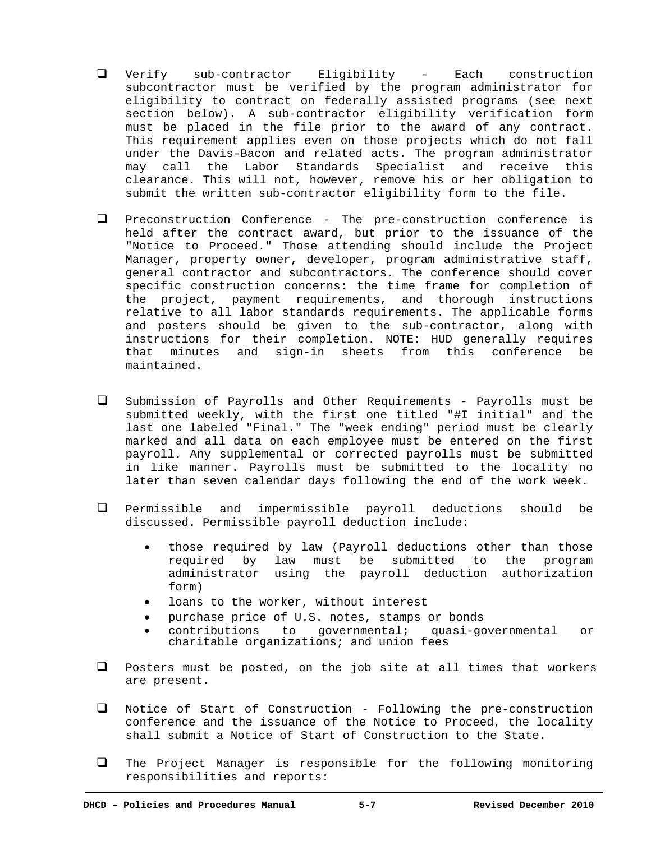- Verify sub-contractor Eligibility Each construction subcontractor must be verified by the program administrator for eligibility to contract on federally assisted programs (see next section below). A sub-contractor eligibility verification form must be placed in the file prior to the award of any contract. This requirement applies even on those projects which do not fall under the Davis-Bacon and related acts. The program administrator may call the Labor Standards Specialist and receive this clearance. This will not, however, remove his or her obligation to submit the written sub-contractor eligibility form to the file.
- Preconstruction Conference The pre-construction conference is held after the contract award, but prior to the issuance of the "Notice to Proceed." Those attending should include the Project Manager, property owner, developer, program administrative staff, general contractor and subcontractors. The conference should cover specific construction concerns: the time frame for completion of the project, payment requirements, and thorough instructions relative to all labor standards requirements. The applicable forms and posters should be given to the sub-contractor, along with instructions for their completion. NOTE: HUD generally requires that minutes and sign-in sheets from this conference be maintained.
- $\square$  Submission of Payrolls and Other Requirements Payrolls must be submitted weekly, with the first one titled "#I initial" and the last one labeled "Final." The "week ending" period must be clearly marked and all data on each employee must be entered on the first payroll. Any supplemental or corrected payrolls must be submitted in like manner. Payrolls must be submitted to the locality no later than seven calendar days following the end of the work week.
- Permissible and impermissible payroll deductions should be discussed. Permissible payroll deduction include:
	- those required by law (Payroll deductions other than those required by law must be submitted to the program administrator using the payroll deduction authorization form)
	- loans to the worker, without interest
	- purchase price of U.S. notes, stamps or bonds
	- contributions to governmental; quasi-governmental or charitable organizations; and union fees
- $\Box$  Posters must be posted, on the job site at all times that workers are present.
- $\Box$  Notice of Start of Construction Following the pre-construction conference and the issuance of the Notice to Proceed, the locality shall submit a Notice of Start of Construction to the State.
- The Project Manager is responsible for the following monitoring responsibilities and reports: